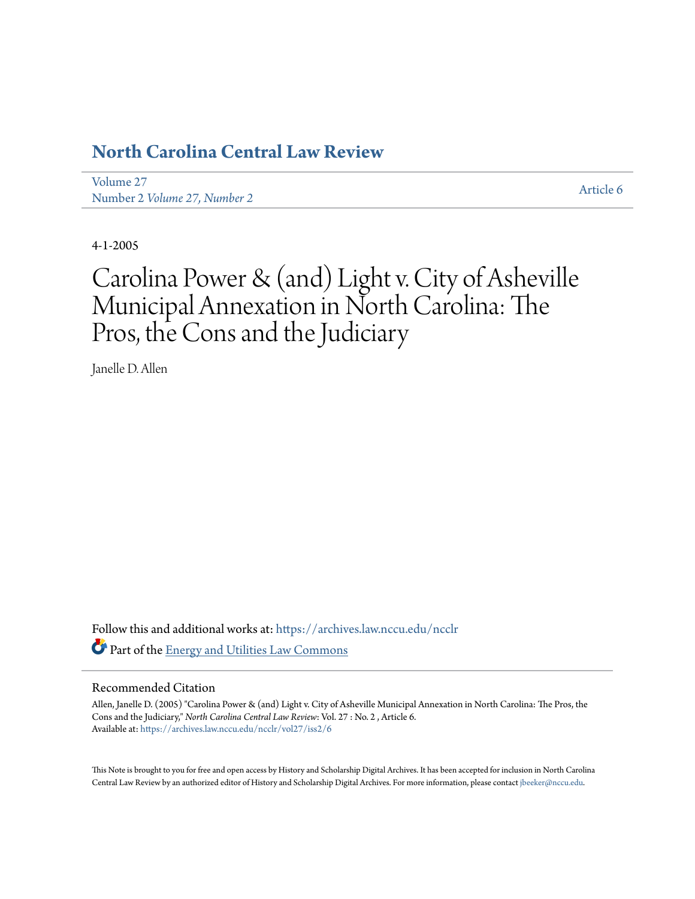## **[North Carolina Central Law Review](https://archives.law.nccu.edu/ncclr?utm_source=archives.law.nccu.edu%2Fncclr%2Fvol27%2Fiss2%2F6&utm_medium=PDF&utm_campaign=PDFCoverPages)**

[Volume 27](https://archives.law.nccu.edu/ncclr/vol27?utm_source=archives.law.nccu.edu%2Fncclr%2Fvol27%2Fiss2%2F6&utm_medium=PDF&utm_campaign=PDFCoverPages) *Number 2 / [Article 6](https://archives.law.nccu.edu/ncclr/vol27/iss2/6?utm_source=archives.law.nccu.edu%2Fncclr%2Fvol27%2Fiss2%2F6&utm_medium=PDF&utm_campaign=PDFCoverPages)*<br>Number 2 *[Volume 27, Number 2](https://archives.law.nccu.edu/ncclr/vol27/iss2?utm_source=archives.law.nccu.edu%2Fncclr%2Fvol27%2Fiss2%2F6&utm_medium=PDF&utm_campaign=PDFCoverPages)* 

4-1-2005

# Carolina Power & (and) Light v. City of Asheville Municipal Annexation in North Carolina: The Pros, the Cons and the Judiciary

Janelle D. Allen

Follow this and additional works at: [https://archives.law.nccu.edu/ncclr](https://archives.law.nccu.edu/ncclr?utm_source=archives.law.nccu.edu%2Fncclr%2Fvol27%2Fiss2%2F6&utm_medium=PDF&utm_campaign=PDFCoverPages) Part of the **[Energy and Utilities Law Commons](http://network.bepress.com/hgg/discipline/891?utm_source=archives.law.nccu.edu%2Fncclr%2Fvol27%2Fiss2%2F6&utm_medium=PDF&utm_campaign=PDFCoverPages)** 

## Recommended Citation

Allen, Janelle D. (2005) "Carolina Power & (and) Light v. City of Asheville Municipal Annexation in North Carolina: The Pros, the Cons and the Judiciary," *North Carolina Central Law Review*: Vol. 27 : No. 2 , Article 6. Available at: [https://archives.law.nccu.edu/ncclr/vol27/iss2/6](https://archives.law.nccu.edu/ncclr/vol27/iss2/6?utm_source=archives.law.nccu.edu%2Fncclr%2Fvol27%2Fiss2%2F6&utm_medium=PDF&utm_campaign=PDFCoverPages)

This Note is brought to you for free and open access by History and Scholarship Digital Archives. It has been accepted for inclusion in North Carolina Central Law Review by an authorized editor of History and Scholarship Digital Archives. For more information, please contact [jbeeker@nccu.edu.](mailto:jbeeker@nccu.edu)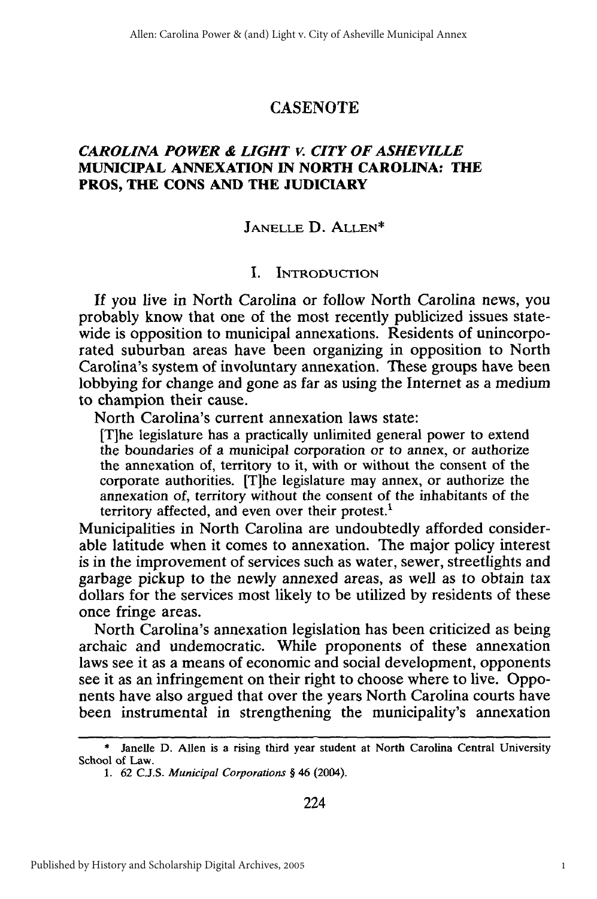## **CASENOTE**

## *CAROLINA POWER & LIGHT v. CITY OF ASHEVILLE* **MUNICIPAL ANNEXATION IN NORTH CAROLINA: THE PROS, THE CONS AND THE JUDICIARY**

## **JANELLE D.** ALLEN\*

#### **I.** INTRODUCTION

If *you* live *in* North Carolina or follow North Carolina news, you probably know that one of the most recently publicized issues statewide is opposition to municipal annexations. Residents of unincorporated suburban areas have been organizing in opposition to North Carolina's system of involuntary annexation. These groups have been lobbying for change and gone as far as using the Internet as a medium to champion their cause.

North Carolina's current annexation laws state:

[Tihe legislature has a practically unlimited general power to extend the boundaries of a municipal corporation or to annex, or authorize the annexation of, territory to it, with or without the consent of the corporate authorities. [T]he legislature may annex, or authorize the annexation of, territory without the consent of the inhabitants of the territory affected, and even over their protest. $<sup>1</sup>$ </sup>

Municipalities in North Carolina are undoubtedly afforded considerable latitude when it comes to annexation. The major policy interest is in the improvement of services such as water, sewer, streetlights and garbage pickup to the newly annexed areas, as well as to obtain tax dollars for the services most likely to be utilized by residents of these once fringe areas.

North Carolina's annexation legislation has been criticized as being archaic and undemocratic. While proponents of these annexation laws see it as a means of economic and social development, opponents see it as an infringement on their right to choose where to live. Opponents have also argued that over the years North Carolina courts have been instrumental in strengthening the municipality's annexation

<sup>\*</sup> Janelle D. Allen is a rising third year student at North Carolina Central University School of Law.

<sup>1. 62</sup> C.J.S. *Municipal Corporations* § 46 (2004).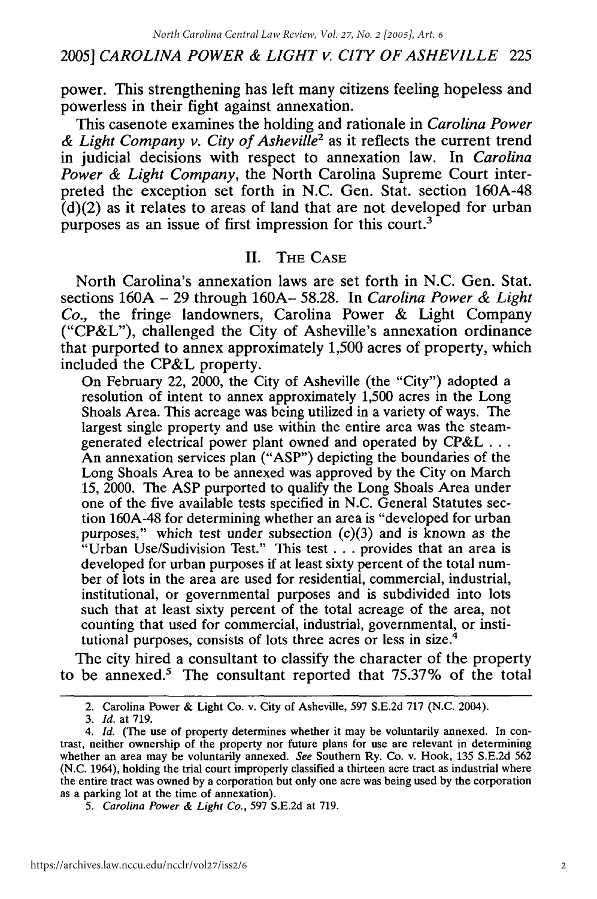power. This strengthening has left many citizens feeling hopeless and powerless in their fight against annexation.

This casenote examines the holding and rationale in *Carolina Power & Light Company v. City of Asheville2* as it reflects the current trend in judicial decisions with respect to annexation law. In *Carolina Power & Light Company,* the North Carolina Supreme Court interpreted the exception set forth in N.C. Gen. Stat. section 160A-48  $(d)(2)$  as it relates to areas of land that are not developed for urban purposes as an issue of first impression for this court.<sup>3</sup>

## II. THE **CASE**

North Carolina's annexation laws are set forth in N.C. Gen. Stat. sections 160A - 29 through 160A- 58.28. In *Carolina Power & Light Co.,* the fringe landowners, Carolina Power & Light Company ("CP&L"), challenged the City of Asheville's annexation ordinance that purported to annex approximately 1,500 acres of property, which included the CP&L property.

On February 22, 2000, the City of Asheville (the "City") adopted a resolution of intent to annex approximately 1,500 acres in the Long Shoals Area. This acreage was being utilized in a variety of ways. The largest single property and use within the entire area was the steamgenerated electrical power plant owned and operated by **CP&L...** An annexation services plan ("ASP") depicting the boundaries of the Long Shoals Area to be annexed was approved by the City on March 15, 2000. The ASP purported to qualify the Long Shoals Area under one of the five available tests specified in N.C. General Statutes section 160A-48 for determining whether an area is "developed for urban purposes," which test under subsection  $(c)(3)$  and is known as the "Urban Use/Sudivision Test." This test **...** provides that an area is developed for urban purposes if at least sixty percent of the total number of lots in the area are used for residential, commercial, industrial, institutional, or governmental purposes and is subdivided into lots such that at least sixty percent of the total acreage of the area, not counting that used for commercial, industrial, governmental, or institutional purposes, consists of lots three acres or less in size.4

The city hired a consultant to classify the character of the property to be annexed.' The consultant reported that 75.37% of the total

<sup>2.</sup> Carolina Power & Light Co. v. City of Asheville, 597 S.E.2d 717 (N.C. 2004).

*<sup>3.</sup> Id.* at 719.

*<sup>4.</sup> Id.* (The use of property determines whether it may be voluntarily annexed. In contrast, neither ownership of the property nor future plans for use are relevant in determining whether an area may be voluntarily annexed. *See* Southern Ry. Co. v. Hook, 135 S.E.2d 562 (N.C. 1964), holding the trial court improperly classified a thirteen acre tract as industrial where the entire tract was owned by a corporation but only one acre was being used by the corporation as a parking lot at the time of annexation).

*<sup>5.</sup> Carolina Power & Light Co.,* 597 S.E.2d at 719.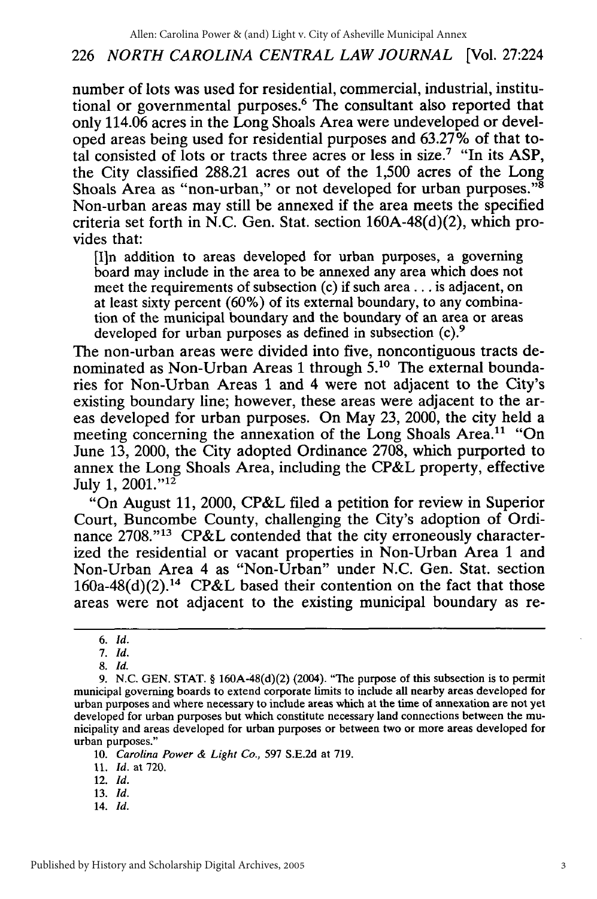## 226 *NORTH CAROLINA CENTRAL LAW JOURNAL* [Vol. 27:224

number of lots was used for residential, commercial, industrial, institutional or governmental purposes.<sup>6</sup> The consultant also reported that only 114.06 acres in the Long Shoals Area were undeveloped or developed areas being used for residential purposes and 63.27% of that total consisted of lots or tracts three acres or less in size.7 "In its ASP, the City classified 288.21 acres out of the 1,500 acres of the Long Shoals Area as "non-urban," or not developed for urban purposes."<sup>8</sup> Non-urban areas may still be annexed if the area meets the specified criteria set forth in N.C. Gen. Stat. section 160A-48(d)(2), which provides that:

[I]n addition to areas developed for urban purposes, a governing board may include in the area to be annexed any area which does not meet the requirements of subsection (c) if such area.., is adjacent, on at least sixty percent (60%) of its external boundary, to any combination of the municipal boundary and the boundary of an area or areas developed for urban purposes as defined in subsection (c).<sup>9</sup>

The non-urban areas were divided into five, noncontiguous tracts denominated as Non-Urban Areas 1 through **5.10** The external boundaries **for** Non-Urban Areas **1** and 4 were not adjacent to the City's existing boundary line; however, these areas were adjacent to the areas developed for urban purposes. On May 23, 2000, the city held a meeting concerning the annexation of the Long Shoals Area.<sup>11</sup> "On June 13, 2000, the City adopted Ordinance 2708, which purported to annex the Long Shoals Area, including the CP&L property, effective July 1, 2001."<sup>12</sup>

"On August 11, 2000, CP&L filed a petition for review in Superior Court, Buncombe County, challenging the City's adoption of Ordinance 2708."<sup>13</sup> CP&L contended that the city erroneously characterized the residential or vacant properties in Non-Urban Area 1 and Non-Urban Area 4 as "Non-Urban" under N.C. Gen. Stat. section  $160a-48(d)(2).<sup>14</sup>$  CP&L based their contention on the fact that those areas were not adjacent to the existing municipal boundary as re-

*7. Id.*

*8. Id.*

10. Carolina Power *& Light Co.,* 597 S.E.2d at 719.

11. **1d.** at 720.

12. *Id.*

- 13. *Id.*
- 14. *Id.*

*<sup>6.</sup> Id.*

<sup>9.</sup> N.C. GEN. STAT. § 160A-48(d)(2) (2004). "The purpose of this subsection is to permit municipal governing boards to extend corporate limits to include all nearby areas developed for urban purposes and where necessary to include areas which at the time of annexation are not yet developed for urban purposes but which constitute necessary land connections between the municipality and areas developed for urban purposes or between two or more areas developed for urban purposes."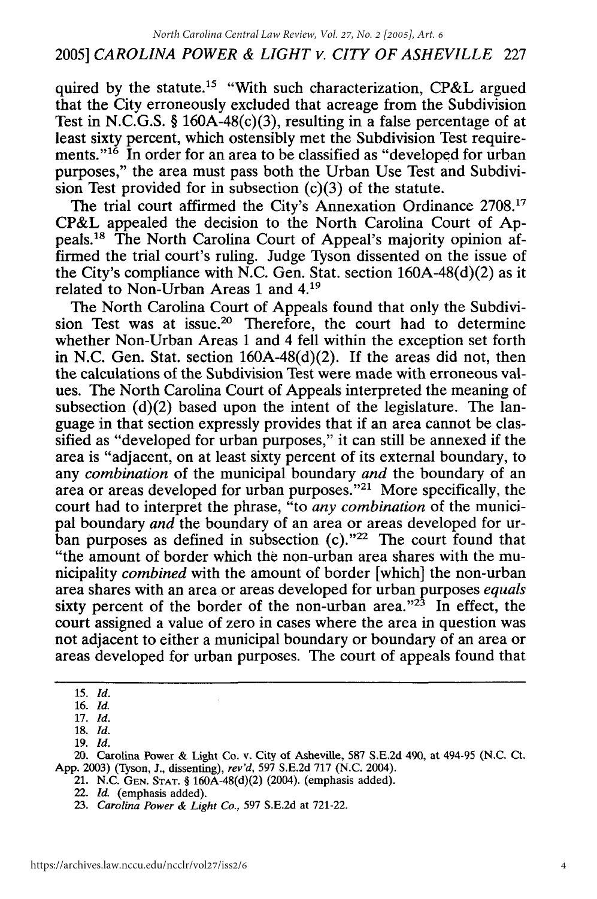quired by the statute.<sup>15</sup> "With such characterization, CP&L argued that the City erroneously excluded that acreage from the Subdivision Test in N.C.G.S. § 160A-48(c)(3), resulting in a false percentage of at least sixty percent, which ostensibly met the Subdivision Test requirements."<sup>16</sup> In order for an area to be classified as "developed for urban purposes," the area must pass both the Urban Use Test and Subdivision Test provided for in subsection (c)(3) of the statute.

The trial court affirmed the City's Annexation Ordinance 2708.'7 CP&L appealed the decision to the North Carolina Court of Appeals. 18 The North Carolina Court of Appeal's majority opinion affirmed the trial court's ruling. Judge Tyson dissented on the issue of the City's compliance with N.C. Gen. Stat. section  $160A-48(d)(2)$  as it related to Non-Urban Areas **1** and **4.19**

The North Carolina Court of Appeals found that only the Subdivision Test was at issue.<sup>20</sup> Therefore, the court had to determine whether Non-Urban Areas 1 and 4 fell within the exception set forth in N.C. Gen. Stat. section 160A-48(d)(2). If the areas did not, then the calculations of the Subdivision Test were made with erroneous values. The North Carolina Court of Appeals interpreted the meaning of subsection  $(d)(2)$  based upon the intent of the legislature. The language in that section expressly provides that if an area cannot be classified as "developed for urban purposes," it can still be annexed if the area is "adjacent, on at least sixty percent of its external boundary, to any *combination* of the municipal boundary *and* the boundary of an area or areas developed for urban purposes."<sup>21</sup> More specifically, the court had to interpret the phrase, "to *any combination* of the municipal boundary *and* the boundary of an area or areas developed for urban purposes as defined in subsection  $(c)$ ."<sup>22</sup> The court found that "the amount of border which the non-urban area shares with the municipality *combined* with the amount of border [which] the non-urban area shares with an area or areas developed for urban purposes *equals* sixty percent of the border of the non-urban area." $2^3$  In effect, the court assigned a value of zero in cases where the area in question was not adjacent to either a municipal boundary or boundary of an area or areas developed for urban purposes. The court of appeals found that

**<sup>15.</sup>** *Id.*

<sup>16.</sup> *Id.*

<sup>17.</sup> *Id.*

**<sup>18.</sup>** *Id.*

<sup>19.</sup> *Id.*

<sup>20.</sup> Carolina Power & Light Co. v. City of Asheville, 587 S.E.2d 490, at 494-95 (N.C. Ct. App. 2003) (Tyson, J., dissenting), *rev'd,* 597 S.E.2d 717 (N.C. 2004).

<sup>21.</sup> N.C. **GEN. STAT.** § 160A-48(d)(2) (2004). (emphasis added).

<sup>22.</sup> *Id.* (emphasis added).

<sup>23.</sup> *Carolina Power & Light Co.,* 597 S.E.2d at 721-22.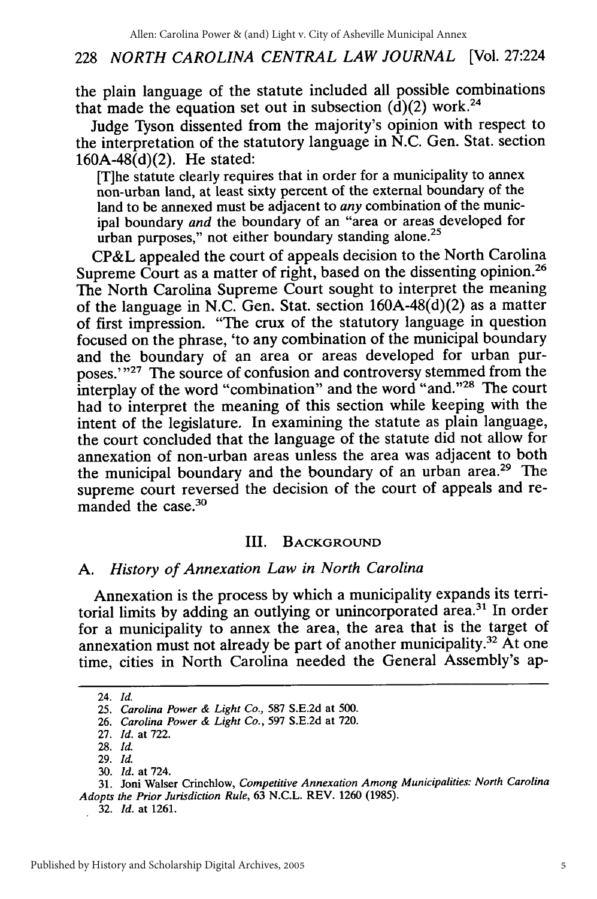#### 228 *NORTH CAROLINA CENTRAL LAW JOURNAL* [Vol. 27:224

the plain language of the statute included all possible combinations that made the equation set out in subsection  $(d)(2)$  work.<sup>24</sup>

Judge Tyson dissented from the majority's opinion with respect to the interpretation of the statutory language in N.C. Gen. Stat. section  $160A-48(d)(2)$ . He stated:

[T]he statute clearly requires that in order for a municipality to annex non-urban land, at least sixty percent of the external boundary of the land to be annexed must be adjacent to *any* combination of the municipal boundary *and* the boundary of an "area or areas developed for urban purposes," not either boundary standing alone.<sup>25</sup>

CP&L appealed the court of appeals decision to the North Carolina Supreme Court as a matter of right, based on the dissenting opinion.<sup>26</sup> The North Carolina Supreme Court sought to interpret the meaning of the language in N.C. Gen. Stat. section 160A-48(d)(2) as a matter of first impression. "The crux of the statutory language in question focused on the phrase, 'to any combination of the municipal boundary and the boundary of an area or areas developed for urban purposes.'"<sup>27</sup> The source of confusion and controversy stemmed from the interplay of the word "combination" and the word "and."<sup>28</sup> The court had to interpret the meaning of this section while keeping with the intent of the legislature. In examining the statute as plain language, the court concluded that the language of the statute did not allow for annexation of non-urban areas unless the area was adjacent to both the municipal boundary and the boundary of an urban area.29 The supreme court reversed the decision of the court of appeals and remanded the case.<sup>30</sup>

#### III. **BACKGROUND**

## *A. History of Annexation Law in North Carolina*

Annexation is the process by which a municipality expands its territorial limits by adding an outlying or unincorporated area.<sup>31</sup> In order for a municipality to annex the area, the area that is the target of annexation must not already be part of another municipality.32 At one time, cities in North Carolina needed the General Assembly's ap-

**27.** *Id.* at 722.

**32.** *Id.* at **1261.**

<sup>24.</sup> *Id.*

**<sup>25.</sup>** *Carolina Power & Light Co.,* **587 S.E.2d** at **500.**

**<sup>26.</sup>** *Carolina Power & Light Co.,* **597 S.E.2d** at **720.**

**<sup>28.</sup>** *Id.*

**<sup>29.</sup>** *Id.* **30.** *Id.* at 724.

**<sup>31.</sup>** Joni Walser Crinchlow, *Competitive Annexation Among Municipalities: North Carolina Adopts the Prior Jurisdiction Rule,* **63 N.C.L.** REV. **1260 (1985).**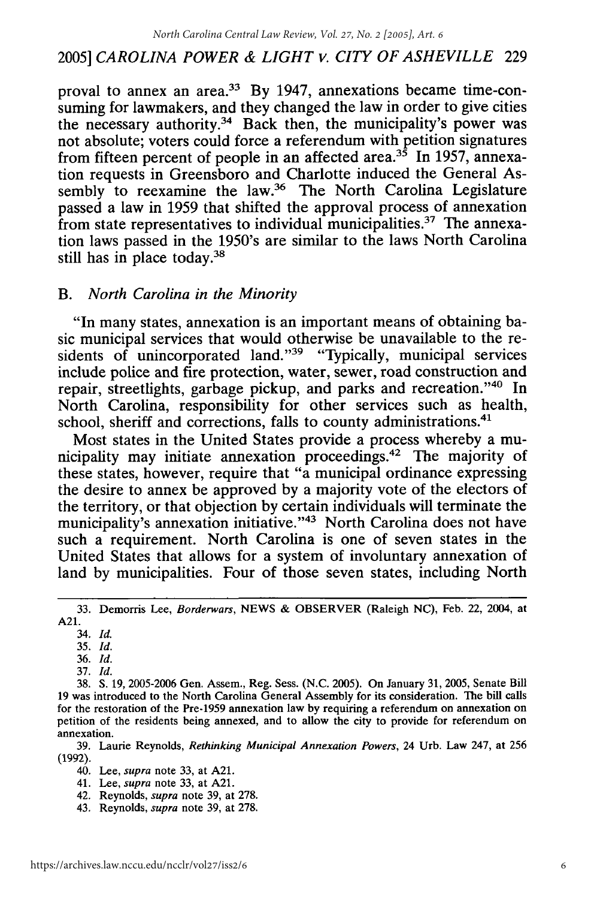proval to annex an area.<sup>33</sup> By 1947, annexations became time-consuming for lawmakers, and they changed the law in order to give cities the necessary authority.34 Back then, the municipality's power was not absolute; voters could force a referendum with petition signatures from fifteen percent of people in an affected area.<sup>35</sup> In 1957, annexation requests in Greensboro and Charlotte induced the General Assembly to reexamine the law.<sup>36</sup> The North Carolina Legislature passed a law in 1959 that shifted the approval process of annexation from state representatives to individual municipalities.<sup>37</sup> The annexation laws passed in the 1950's are similar to the laws North Carolina still has in place today.<sup>38</sup>

#### *B. North Carolina in the Minority*

"In many states, annexation is an important means of obtaining basic municipal services that would otherwise be unavailable to the residents of unincorporated land."<sup>39</sup> "Typically, municipal services include police and fire protection, water, sewer, road construction and repair, streetlights, garbage pickup, and parks and recreation."40 In North Carolina, responsibility for other services such as health, school, sheriff and corrections, falls to county administrations.<sup>41</sup>

Most states in the United States provide a process whereby a municipality may initiate annexation proceedings.<sup>42</sup> The majority of these states, however, require that "a municipal ordinance expressing the desire to annex be approved by a majority vote of the electors of the territory, or that objection by certain individuals will terminate the municipality's annexation initiative."<sup>43</sup> North Carolina does not have such a requirement. North Carolina is one of seven states in the United States that allows for a system of involuntary annexation of land by municipalities. Four of those seven states, including North

36. *Id.*

<sup>33.</sup> Demorris Lee, *Borderwars,* NEWS & OBSERVER (Raleigh NC), Feb. 22, 2004, at A21.

<sup>34.</sup> *Id.*

<sup>35.</sup> *Id.*

<sup>37.</sup> *Id.*

<sup>38.</sup> **S.** 19, 2005-2006 Gen. Assem., Reg. Sess. (N.C. 2005). On January 31, 2005, Senate Bill 19 was introduced to the North Carolina General Assembly for its consideration. The bill calls for the restoration of the Pre-1959 annexation law by requiring a referendum on annexation on petition of the residents being annexed, and to allow the city to provide for referendum on annexation.

<sup>39.</sup> Laurie Reynolds, *Rethinking Municipal Annexation Powers,* 24 Urb. Law 247, at 256 (1992).

<sup>40.</sup> Lee, *supra* note 33, at A21.

<sup>41.</sup> Lee, *supra* note 33, at A21.

<sup>42.</sup> Reynolds, *supra* note 39, at 278.

<sup>43.</sup> Reynolds, *supra* note 39, at 278.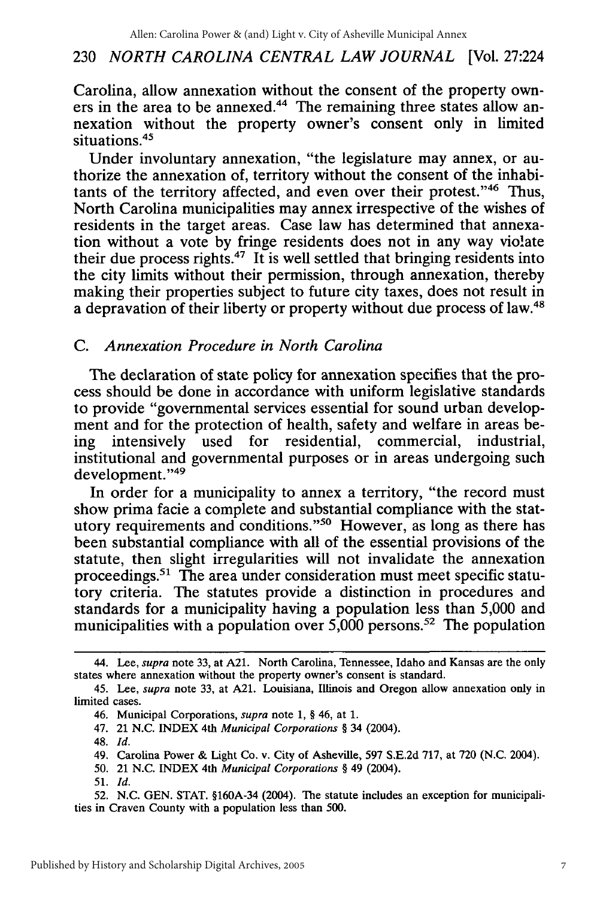## 230 *NORTH CAROLINA CENTRAL LAW JOURNAL* [Vol. 27:224

Carolina, allow annexation without the consent of the property owners in the area to be annexed.<sup>44</sup> The remaining three states allow annexation without the property owner's consent only in limited situations.<sup>45</sup>

Under involuntary annexation, "the legislature may annex, or authorize the annexation of, territory without the consent of the inhabitants of the territory affected, and even over their protest."46 Thus, North Carolina municipalities may annex irrespective of the wishes of residents in the target areas. Case law has determined that annexation without a vote by fringe residents does not in any way vio!ate their due process rights. $47$  It is well settled that bringing residents into the city limits without their permission, through annexation, thereby making their properties subject to future city taxes, does not result in a depravation of their liberty or property without due process of law.48

## *C. Annexation Procedure in North Carolina*

The declaration of state policy for annexation specifies that the process should be done in accordance with uniform legislative standards to provide "governmental services essential for sound urban development and for the protection of health, safety and welfare in areas being intensively used for residential, commercial, industrial, institutional and governmental purposes or in areas undergoing such development."49

In order for a municipality to annex a territory, "the record must show prima facie a complete and substantial compliance with the statutory requirements and conditions."<sup>50</sup> However, as long as there has been substantial compliance with all of the essential provisions of the statute, then slight irregularities will not invalidate the annexation proceedings.51 The area under consideration must meet specific statutory criteria. The statutes provide a distinction in procedures and standards for a municipality having a population less than 5,000 and municipalities with a population over  $5,000$  persons.<sup>52</sup> The population

47. 21 N.C. INDEX 4th *Municipal Corporations §* 34 (2004).

50. 21 N.C. INDEX 4th *Municipal Corporations §* 49 (2004).

<sup>44.</sup> Lee, *supra* note 33, at A21. North Carolina, Tennessee, Idaho and Kansas are the only states where annexation without the property owner's consent is standard.

<sup>45.</sup> Lee, *supra* note 33, at A21. Louisiana, Illinois and Oregon allow annexation only in limited cases.

<sup>46.</sup> Municipal Corporations, *supra* note 1, § 46, at 1.

<sup>48.</sup> *Id.*

<sup>49.</sup> Carolina Power & Light Co. v. City of Asheville, 597 S.E.2d 717, at 720 (N.C. 2004).

<sup>51.</sup> *Id.*

<sup>52.</sup> N.C. GEN. STAT. §160A-34 (2004). The statute includes an exception for municipalities in Craven County with a population less than 500.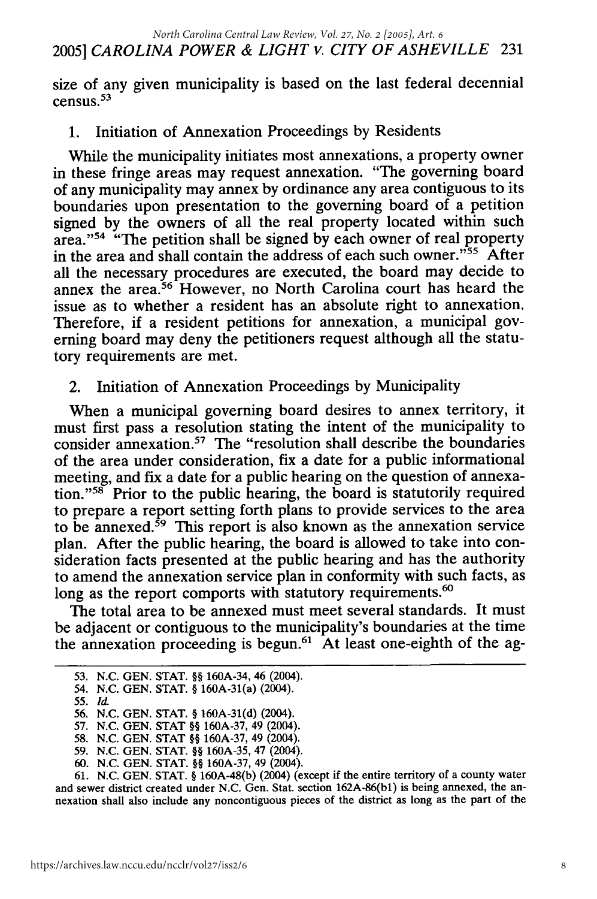2005] *CAROLINA POWER & LIGHT v. CITY OF ASHEVILLE* 231 *North Carolina Central Law Review, Vol. 27, No. 2 [2005], Art. 6*

size of any given municipality is based on the last federal decennial census. $53$ 

## 1. Initiation of Annexation Proceedings by Residents

While the municipality initiates most annexations, a property owner in these fringe areas may request annexation. "The governing board of any municipality may annex by ordinance any area contiguous to its boundaries upon presentation to the governing board of a petition signed by the owners of all the real property located within such area."<sup>54</sup> "The petition shall be signed by each owner of real property in the area and shall contain the address of each such owner."55 After all the necessary procedures are executed, the board may decide to annex the area.56 However, no North Carolina court has heard the issue as to whether a resident has an absolute right to annexation. Therefore, if a resident petitions for annexation, a municipal governing board may deny the petitioners request although all the statutory requirements are met.

## 2. Initiation of Annexation Proceedings by Municipality

When a municipal governing board desires to annex territory, it must first pass a resolution stating the intent of the municipality to consider annexation.<sup>57</sup> The "resolution shall describe the boundaries of the area under consideration, fix a date for a public informational meeting, and fix a date for a public hearing on the question of annexation."<sup>58</sup> Prior to the public hearing, the board is statutorily required to prepare a report setting forth plans to provide services to the area to be annexed.59 This report is also known as the annexation service plan. After the public hearing, the board is allowed to take into consideration facts presented at the public hearing and has the authority to amend the annexation service plan in conformity with such facts, as long as the report comports with statutory requirements.<sup>60</sup>

The total area to be annexed must meet several standards. It must be adjacent or contiguous to the municipality's boundaries at the time the annexation proceeding is begun.<sup>61</sup> At least one-eighth of the ag-

54. N.C. GEN. STAT. § 160A-31(a) (2004).

61. N.C. GEN. STAT. § 160A-48(b) (2004) (except if the entire territory of a county water and sewer district created under N.C. Gen. Stat. section 162A-86(bl) is being annexed, the annexation shall also include any noncontiguous pieces of the district as long as the part of the

<sup>53.</sup> N.C. GEN. STAT. §§ 160A-34, 46 (2004).

<sup>55.</sup> *Id.*

<sup>56.</sup> N.C. GEN. STAT. § 160A-31(d) (2004).

<sup>57.</sup> N.C. GEN. STAT §§ 160A-37, 49 (2004).

<sup>58.</sup> N.C. GEN. STAT §§ 160A-37, 49 (2004).

<sup>59.</sup> N.C. GEN. STAT. §§ 160A-35, 47 (2004).

<sup>60.</sup> N.C. GEN. STAT. §§ 160A-37, 49 (2004).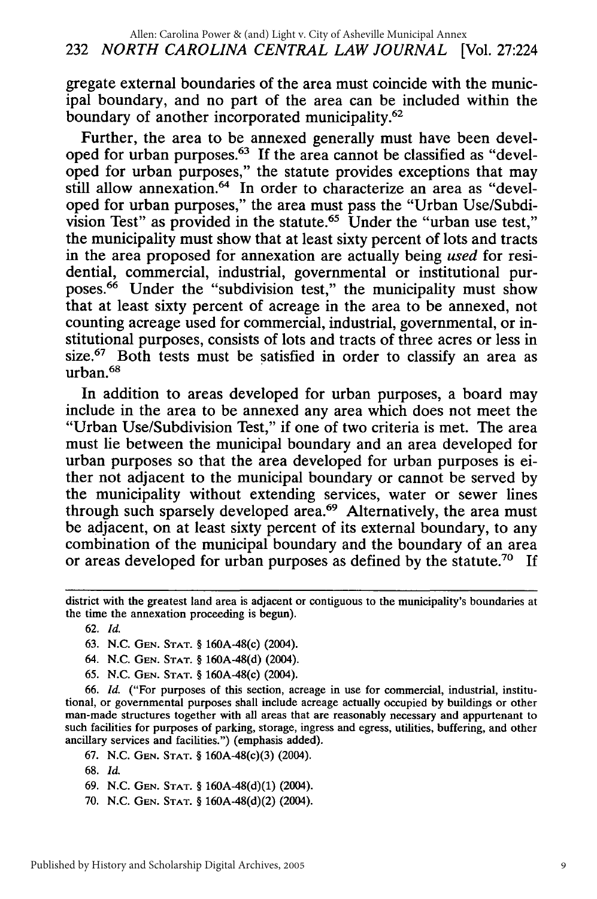gregate external boundaries of the area must coincide with the municipal boundary, and no part of the area can be included within the boundary of another incorporated municipality.<sup>62</sup>

Further, the area to be annexed generally must have been developed for urban purposes.<sup>63</sup> If the area cannot be classified as "developed for urban purposes," the statute provides exceptions that may still allow annexation.<sup>64</sup> In order to characterize an area as "developed for urban purposes," the area must pass the "Urban Use/Subdivision Test" as provided in the statute.<sup>65</sup> Under the "urban use test," the municipality must show that at least sixty percent of lots and tracts in the area proposed for annexation are actually being *used* for residential, commercial, industrial, governmental or institutional purposes.<sup>66</sup> Under the "subdivision test," the municipality must show that at least sixty percent of acreage in the area to be annexed, not counting acreage used for commercial, industrial, governmental, or institutional purposes, consists of lots and tracts of three acres or less in size.<sup>67</sup> Both tests must be satisfied in order to classify an area as urban.68

In addition to areas developed for urban purposes, a board may include in the area to be annexed any area which does not meet the "Urban Use/Subdivision Test," if one of two criteria is met. The area must lie between the municipal boundary and an area developed for urban purposes so that the area developed for urban purposes is either not adjacent to the municipal boundary or cannot be served by the municipality without extending services, water or sewer lines through such sparsely developed area.<sup>69</sup> Alternatively, the area must be adjacent, on at least sixty percent of its external boundary, to any combination of the municipal boundary and the boundary of an area or areas developed for urban purposes as defined by the statute.70 If

62. *Id.*

65. N.C. **GEN. STAT.** § 160A-48(c) (2004).

66. *Id.* ("For purposes of this section, acreage in use for commercial, industrial, institutional, or governmental purposes shall include acreage actually occupied by buildings or other man-made structures together with all areas that are reasonably necessary and appurtenant to such facilities for purposes of parking, storage, ingress and egress, utilities, buffering, and other ancillary services and facilities.") (emphasis added).

67. N.C. **GEN. STAT.** § 160A-48(c)(3) (2004).

**68.** *l*

69. N.C. **GEN. STAT.** § 160A-48(d)(1) (2004).

70. N.C. **GEN. STAT.** § 160A-48(d)(2) (2004).

district with the greatest land area is adjacent or contiguous to the municipality's boundaries at the time the annexation proceeding is begun).

<sup>63.</sup> N.C. **GEN. STAT.** § 160A-48(c) (2004).

<sup>64.</sup> N.C. **GEN. STAT.** § 160A-48(d) (2004).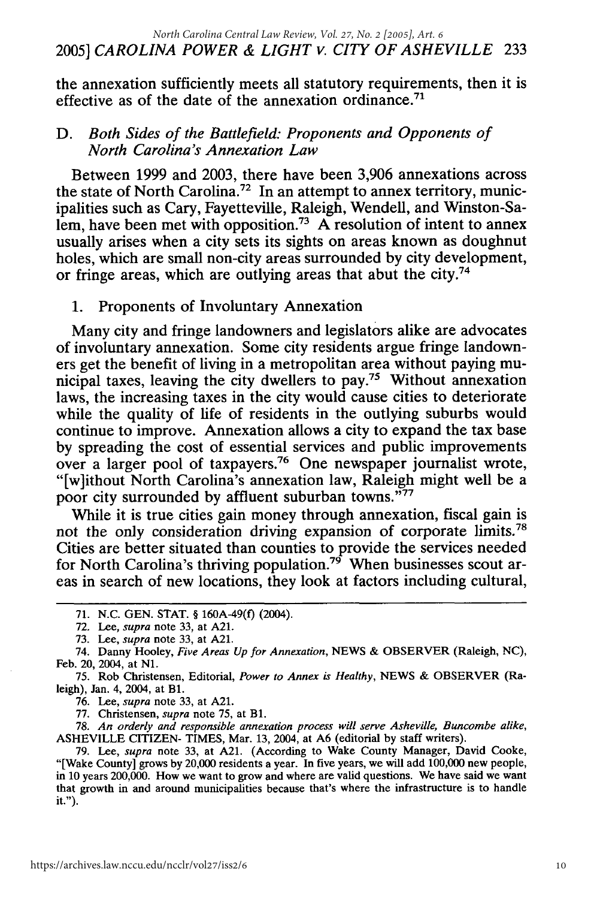the annexation sufficiently meets all statutory requirements, then it is effective as of the date of the annexation ordinance.<sup>71</sup>

## *D. Both Sides of the Battlefield: Proponents and Opponents of North Carolina's Annexation Law*

Between 1999 and 2003, there have been 3,906 annexations across the state of North Carolina.<sup>72</sup> In an attempt to annex territory, municipalities such as Cary, Fayetteville, Raleigh, Wendell, and Winston-Salem, have been met with opposition.<sup>73</sup> A resolution of intent to annex usually arises when a city sets its sights on areas known as doughnut holes, which are small non-city areas surrounded by city development, or fringe areas, which are outlying areas that abut the city.<sup>74</sup>

## 1. Proponents of Involuntary Annexation

Many city and fringe landowners and legislators alike are advocates of involuntary annexation. Some city residents argue fringe landowners get the benefit of living in a metropolitan area without paying municipal taxes, leaving the city dwellers to pay.75 Without annexation laws, the increasing taxes in the city would cause cities to deteriorate while the quality of life of residents in the outlying suburbs would continue to improve. Annexation allows a city to expand the tax base by spreading the cost of essential services and public improvements over a larger pool of taxpayers.76 One newspaper journalist wrote, "[w]ithout North Carolina's annexation law, Raleigh might well be a poor city surrounded by affluent suburban towns."77

While it is true cities gain money through annexation, fiscal gain is not the only consideration driving expansion of corporate limits. <sup>78</sup> Cities are better situated than counties to provide the services needed for North Carolina's thriving population.<sup>79</sup> When businesses scout areas in search of new locations, they look at factors including cultural,

**75.** Rob Christensen, Editorial, *Power to Annex is Healthy,* NEWS & OBSERVER (Raleigh), Jan. 4, 2004, at B1.

**76.** Lee, *supra* note **33,** at A21.

**77.** Christensen, *supra* note **75,** at **B1.**

**78.** *An orderly and responsible annexation process will serve Asheville, Buncombe alike,* ASHEVILLE CITIZEN- TIMES, Mar. 13, 2004, at A6 (editorial **by** staff writers).

**79.** Lee, *supra* note **33,** at A21. (According to Wake County Manager, David Cooke, "[Wake County] grows **by** 20,000 residents a year. In five years, we will add 100,000 new people, in 10 years 200,000. How we want to grow and where are valid questions. We have said we want that growth in and around municipalities because that's where the infrastructure is to handle it.").

<sup>71.</sup> N.C. GEN. STAT. § 160A-49(f) (2004).

**<sup>72.</sup>** Lee, *supra* note **33,** at A21.

**<sup>73.</sup>** Lee, *supra* note 33, at A21.

<sup>74.</sup> Danny Hooley, *Five Areas Up for Annexation,* NEWS & OBSERVER (Raleigh, NC), Feb. 20, 2004, at **N1.**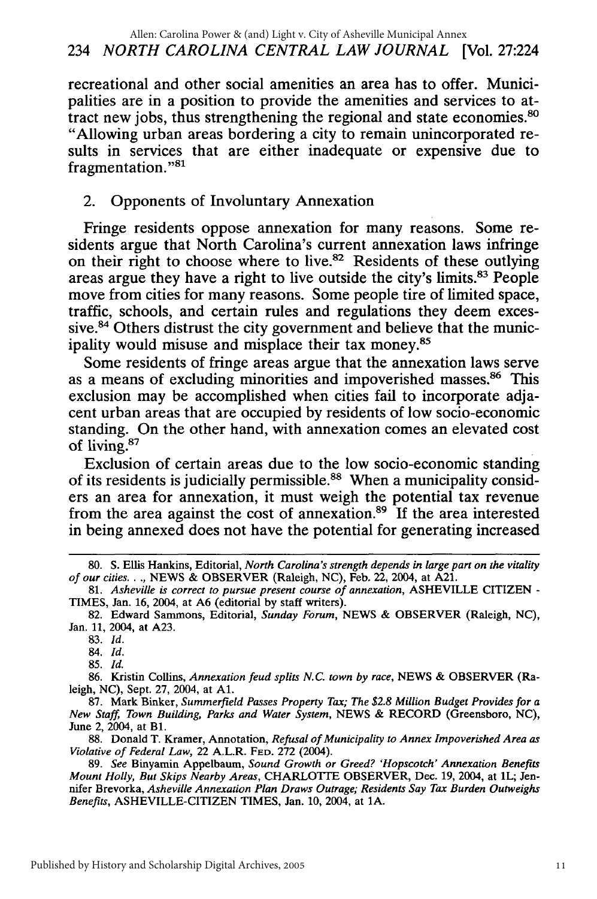recreational and other social amenities an area has to offer. Municipalities are in a position to provide the amenities and services to attract new jobs, thus strengthening the regional and state economies.<sup>80</sup> "Allowing urban areas bordering a city to remain unincorporated results in services that are either inadequate or expensive due to fragmentation."<sup>81</sup>

## 2. Opponents of Involuntary Annexation

Fringe residents oppose annexation for many reasons. Some residents argue that North Carolina's current annexation laws infringe on their right to choose where to live.82 Residents of these outlying areas argue they have a right to live outside the city's limits.83 People move from cities for many reasons. Some people tire of limited space, traffic, schools, and certain rules and regulations they deem excessive.<sup>84</sup> Others distrust the city government and believe that the municipality would misuse and misplace their tax money.85

Some residents of fringe areas argue that the annexation laws serve as a means of excluding minorities and impoverished masses.<sup>86</sup> This exclusion may be accomplished when cities fail to incorporate adjacent urban areas that are occupied **by** residents of low socio-economic standing. On the other hand, with annexation comes an elevated cost of living.<sup>87</sup>

Exclusion of certain areas due to the low socio-economic standing of its residents is judicially permissible.88 When a municipality considers an area for annexation, it must weigh the potential tax revenue from the area against the cost of annexation.89 **If** the area interested in being annexed does not have the potential for generating increased

85. *Id.*

86. Kristin Collins, *Annexation feud splits N.C. town by race,* NEWS & OBSERVER (Raleigh, **NC),** Sept. 27, 2004, at **Al.**

87. Mark Binker, *Summerfield Passes Property Tax; The \$2.8 Million Budget Provides for a New Staff, Town Building, Parks and Water System,* NEWS & RECORD (Greensboro, NC), June 2, 2004, at B1.

88. Donald T. Kramer, Annotation, *Refusal of Municipality to Annex Impoverished Area as Violative of Federal Law,* 22 A.L.R. **FED.** 272 (2004).

**89.** *See* Binyamin Appelbaum, *Sound Growth or Greed? 'Hopscotch' Annexation Benefits Mount Holly, But Skips Nearby Areas,* CHARLOTTE OBSERVER, Dec. 19, 2004, at IL; Jennifer Brevorka, *Asheville Annexation Plan Draws Outrage; Residents Say Tax Burden Outweighs Benefits,* ASHEVILLE-CITIZEN TIMES, Jan. 10, 2004, at **IA.**

<sup>80.</sup> **S.** Ellis Hankins, Editorial, *North Carolina's strength depends in large part on the vitality of our cities .. ,* NEWS & OBSERVER (Raleigh, NC), Feb. 22, 2004, at A21.

<sup>81.</sup> *Asheville is correct to pursue present course of annexation,* ASHEVILLE CITIZEN - TIMES, Jan. 16, 2004, at **A6** (editorial **by** staff writers).

<sup>82.</sup> Edward Sammons, Editorial, *Sunday Forum,* NEWS & OBSERVER (Raleigh, NC), Jan. 11, 2004, at A23.

**<sup>83.</sup>** *Id.*

<sup>84.</sup> *Id.*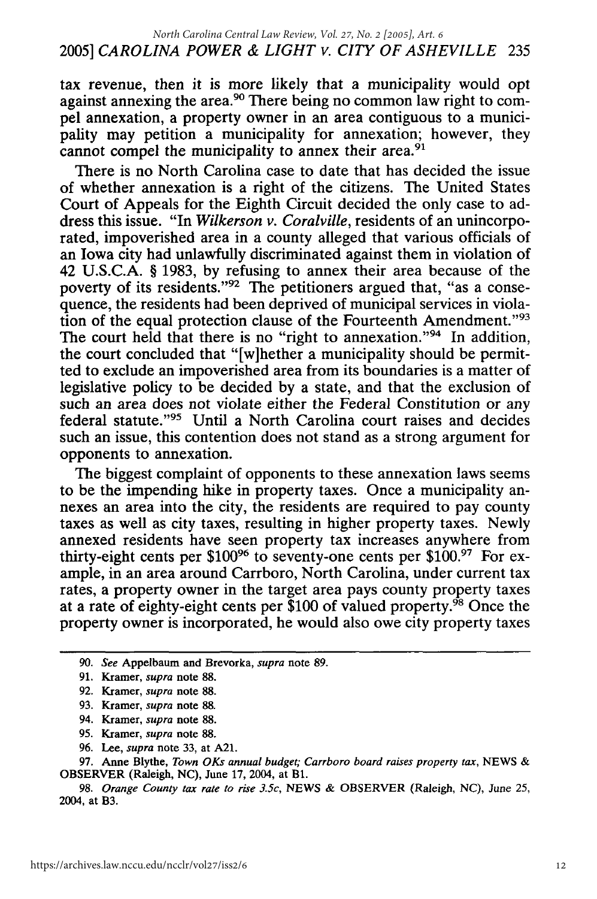#### *2005] CAROLINA POWER & LIGHT v. CITY OF ASHEVILLE* 235 *North Carolina Central Law Review, Vol. 27, No. 2 [2005], Art. 6*

tax revenue, then it is more likely that a municipality would opt against annexing the area.<sup>90</sup> There being no common law right to compel annexation, a property owner in an area contiguous to a municipality may petition a municipality for annexation; however, they cannot compel the municipality to annex their area.<sup>91</sup>

There is no North Carolina case to date that has decided the issue of whether annexation is a right of the citizens. The United States Court of Appeals for the Eighth Circuit decided the only case to address this issue. "In *Wilkerson v. Coralville,* residents of an unincorporated, impoverished area in a county alleged that various officials of an Iowa city had unlawfully discriminated against them in violation of 42 U.S.C.A. § 1983, by refusing to annex their area because of the poverty of its residents."<sup>92</sup> The petitioners argued that, "as a consequence, the residents had been deprived of municipal services in violation of the equal protection clause of the Fourteenth Amendment."93 The court held that there is no "right to annexation."<sup>94</sup> In addition, the court concluded that "[w]hether a municipality should be permitted to exclude an impoverished area from its boundaries is a matter of legislative policy to be decided by a state, and that the exclusion of such an area does not violate either the Federal Constitution or any federal statute."<sup>95</sup> Until a North Carolina court raises and decides such an issue, this contention does not stand as a strong argument for opponents to annexation.

The biggest complaint of opponents to these annexation laws seems to be the impending hike in property taxes. Once a municipality annexes an area into the city, the residents are required to pay county taxes as well as city taxes, resulting in higher property taxes. Newly annexed residents have seen property tax increases anywhere from thirty-eight cents per \$100<sup>96</sup> to seventy-one cents per \$100.<sup>97</sup> For example, in an area around Carrboro, North Carolina, under current tax rates, a property owner in the target area pays county property taxes at a rate of eighty-eight cents per \$100 of valued property.98 Once the property owner is incorporated, he would also owe city property taxes

- 94. Kramer, *supra* note 88.
- 95. Kramer, *supra* note 88.
- 96. Lee, *supra* note 33, at A21.

*<sup>90.</sup> See* Appelbaum and Brevorka, *supra* note 89.

<sup>91.</sup> Kramer, *supra* note 88.

<sup>92.</sup> Kramer, *supra* note 88.

<sup>93.</sup> Kramer, *supra* note 88.

<sup>97.</sup> Anne Blythe, *Town OKs annual budget; Carrboro board raises property tax,* NEWS & OBSERVER (Raleigh, NC), June 17, 2004, at Bi.

<sup>98.</sup> *Orange County tax rate to rise 3.5c,* NEWS & OBSERVER (Raleigh, NC), *June 25,* 2004, at B3.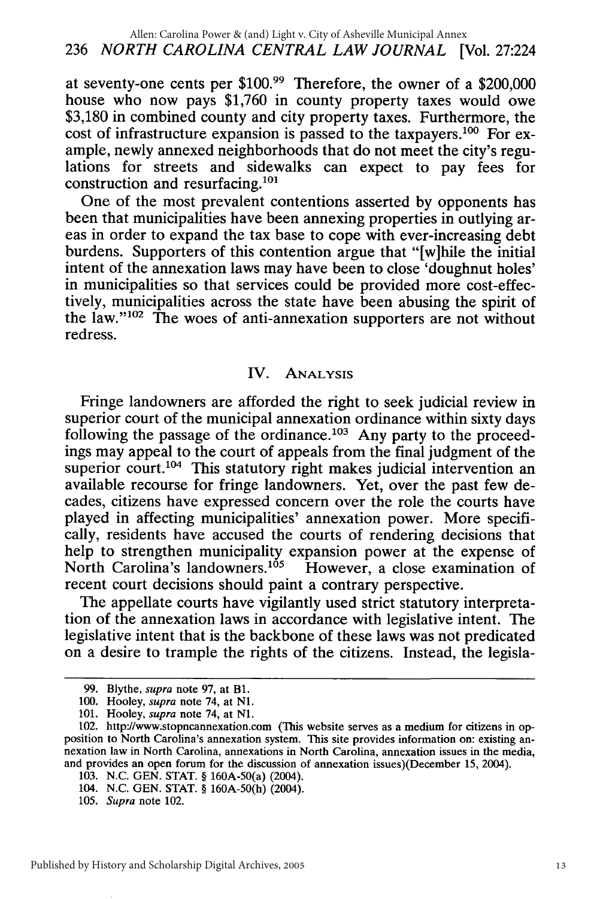at seventy-one cents per \$100.<sup>99</sup> Therefore, the owner of a \$200,000 house who now pays \$1,760 in county property taxes would owe \$3,180 in combined county and city property taxes. Furthermore, the cost of infrastructure expansion is passed to the taxpayers.<sup>100</sup> For example, newly annexed neighborhoods that do not meet the city's regulations for streets and sidewalks can expect to pay fees for construction and resurfacing.<sup>101</sup>

One of the most prevalent contentions asserted by opponents has been that municipalities have been annexing properties in outlying areas in order to expand the tax base to cope with ever-increasing debt burdens. Supporters of this contention argue that "[w]hile the initial intent of the annexation laws may have been to close 'doughnut holes' in municipalities so that services could be provided more cost-effectively, municipalities across the state have been abusing the spirit of the law."<sup>102</sup> The woes of anti-annexation supporters are not without redress.

#### IV. ANALYSIS

Fringe landowners are afforded the right to seek judicial review in superior court of the municipal annexation ordinance within sixty days following the passage of the ordinance.<sup>103</sup> Any party to the proceedings may appeal to the court of appeals from the final judgment of the superior court.<sup>104</sup> This statutory right makes judicial intervention an available recourse for fringe landowners. Yet, over the past few decades, citizens have expressed concern over the role the courts have played in affecting municipalities' annexation power. More specifically, residents have accused the courts of rendering decisions that help to strengthen municipality expansion power at the expense of North Carolina's landowners.<sup>105</sup> However, a close examination of recent court decisions should paint a contrary perspective.

The appellate courts have vigilantly used strict statutory interpretation of the annexation laws in accordance with legislative intent. The legislative intent that is the backbone of these laws was not predicated on a desire to trample the rights of the citizens. Instead, the legisla-

<sup>99.</sup> Blythe, *supra* note 97, at B1.

<sup>100.</sup> Hooley, *supra* note 74, at **N1.**

**<sup>101.</sup>** Hooley, *supra* note 74, at **N1.**

<sup>102.</sup> http://www.stopncannexation.com (This website serves as a medium for citizens in opposition to North Carolina's annexation system. This site provides information on: existing annexation law in North Carolina, annexations in North Carolina, annexation issues in the media, and provides an open forum for the discussion of annexation issues)(December **15,** 2004).

<sup>103.</sup> N.C. GEN. STAT. § 160A-50(a) (2004).

<sup>104.</sup> N.C. GEN. STAT. § 160A-50(h) (2004).

<sup>105.</sup> *Supra* note 102.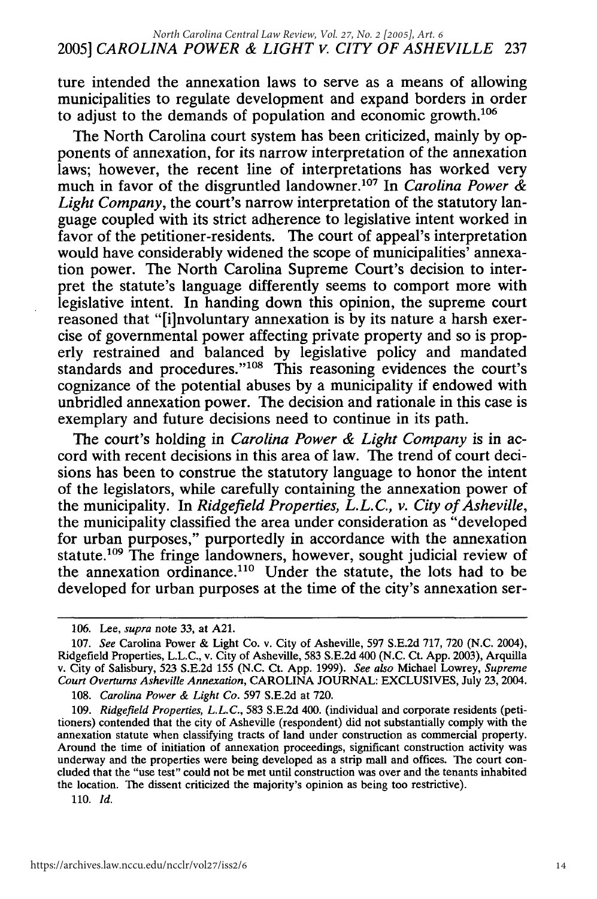ture intended the annexation laws to serve as a means of allowing municipalities to regulate development and expand borders in order to adjust to the demands of population and economic growth. $106$ 

The North Carolina court system has been criticized, mainly by opponents of annexation, for its narrow interpretation of the annexation laws; however, the recent line of interpretations has worked very much in favor of the disgruntled landowner.<sup>107</sup> In *Carolina Power & Light Company,* the court's narrow interpretation of the statutory language coupled with its strict adherence to legislative intent worked in favor of the petitioner-residents. The court of appeal's interpretation would have considerably widened the scope of municipalities' annexation power. The North Carolina Supreme Court's decision to interpret the statute's language differently seems to comport more with legislative intent. In handing down this opinion, the supreme court reasoned that "[i]nvoluntary annexation is by its nature a harsh exercise of governmental power affecting private property and so is properly restrained and balanced by legislative policy and mandated standards and procedures."<sup>108</sup> This reasoning evidences the court's cognizance of the potential abuses by a municipality if endowed with unbridled annexation power. The decision and rationale in this case is exemplary and future decisions need to continue in its path.

The court's holding in *Carolina Power & Light Company* is in accord with recent decisions in this area of law. The trend of court decisions has been to construe the statutory language to honor the intent of the legislators, while carefully containing the annexation power of the municipality. In *Ridgefield Properties, L.L.C., v. City of Asheville,* the municipality classified the area under consideration as "developed for urban purposes," purportedly in accordance with the annexation statute.<sup>109</sup> The fringe landowners, however, sought judicial review of the annexation ordinance.<sup>110</sup> Under the statute, the lots had to be developed for urban purposes at the time of the city's annexation ser-

110. *Id.*

<sup>106.</sup> Lee, *supra* note 33, at A21.

<sup>107.</sup> *See* Carolina Power & Light Co. v. City of Asheville, 597 S.E.2d 717, 720 (N.C. 2004), Ridgefield Properties, L.L.C., v. City of Asheville, 583 S.E.2d 400 (N.C. Ct. App. 2003), Arquilla v. City of Salisbury, 523 S.E.2d 155 (N.C. Ct. App. 1999). *See also* Michael Lowrey, *Supreme Court Overturns Asheville Annexation,* CAROLINA JOURNAL: EXCLUSIVES, July 23, 2004.

<sup>108.</sup> *Carolina Power & Light Co.* 597 S.E.2d at 720.

<sup>109.</sup> *Ridgefield Properties, L.L.C.,* 583 S.E.2d 400. (individual and corporate residents (petitioners) contended that the city of Asheville (respondent) did not substantially comply with the annexation statute when classifying tracts of land under construction as commercial property. Around the time of initiation of annexation proceedings, significant construction activity was underway and the properties were being developed as a strip mall and offices. The court concluded that the "use test" could not be met until construction was over and the tenants inhabited the location. The dissent criticized the majority's opinion as being too restrictive).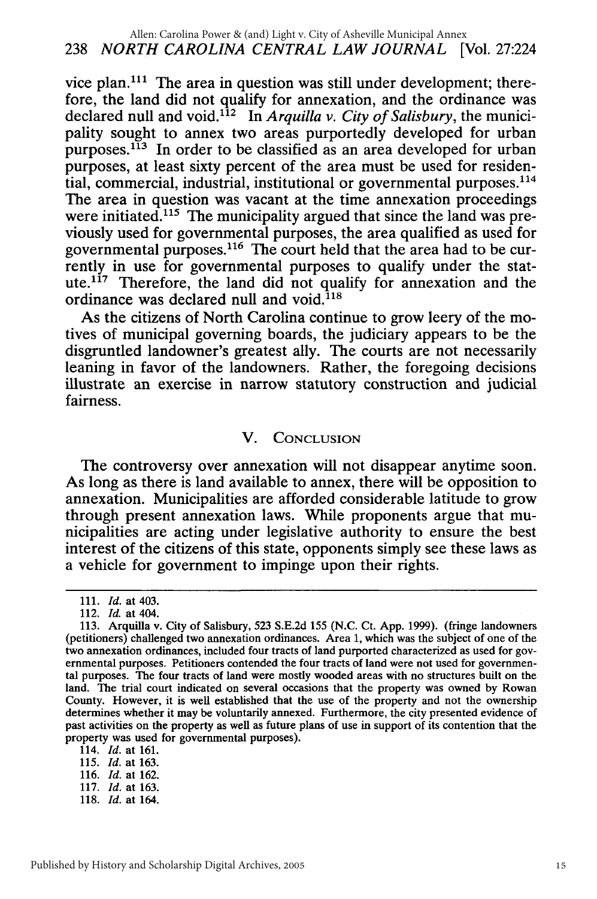vice plan.<sup>111</sup> The area in question was still under development; therefore, the land did not qualify for annexation, and the ordinance was declared null and void.<sup>112</sup> In *Arquilla v. City of Salisbury*, the municipality sought to annex two areas purportedly developed for urban purposes.<sup>113</sup> In order to be classified as an area developed for urban purposes, at least sixty percent of the area must be used for residential, commercial, industrial, institutional or governmental purposes. <sup>114</sup> The area in question was vacant at the time annexation proceedings were initiated.<sup>115</sup> The municipality argued that since the land was previously used for governmental purposes, the area qualified as used for governmental purposes.<sup>116</sup> The court held that the area had to be currently in use for governmental purposes to qualify under the statute.<sup>117</sup> Therefore, the land did not qualify for annexation and the ordinance was declared null and void.<sup>118</sup>

As the citizens of North Carolina continue to grow leery of the motives of municipal governing boards, the judiciary appears to be the disgruntled landowner's greatest ally. The courts are not necessarily leaning in favor of the landowners. Rather, the foregoing decisions illustrate an exercise in narrow statutory construction and judicial fairness.

## V. **CONCLUSION**

The controversy over annexation will not disappear anytime soon. As long as there is land available to annex, there will be opposition to annexation. Municipalities are afforded considerable latitude to grow through present annexation laws. While proponents argue that municipalities are acting under legislative authority to ensure the best interest of the citizens of this state, opponents simply see these laws as a vehicle for government to impinge upon their rights.

- 114. *Id.* at 161.
- 115. *Id.* at 163.
- 116. *Id.* at 162. 117. *Id.* at 163.
- **118. Id.** at 164.
- Published by History and Scholarship Digital Archives, 2005

<sup>111.</sup> *Id.* at 403.

<sup>112.</sup> *Id.* at 404.

<sup>113.</sup> Arquilla v. City of Salisbury, 523 S.E.2d 155 (N.C. Ct. App. 1999). (fringe landowners (petitioners) challenged two annexation ordinances. Area 1, which was the subject of one of the two annexation ordinances, included four tracts of land purported characterized as used for governmental purposes. Petitioners contended the four tracts of land were not used for governmental purposes. The four tracts of land were mostly wooded areas with no structures built on the land. The trial court indicated on several occasions that the property was owned by Rowan County. However, it is well established that the use of the property and not the ownership determines whether it may be voluntarily annexed. Furthermore, the city presented evidence of past activities on the property as well as future plans of use in support of its contention that the property was used for governmental purposes).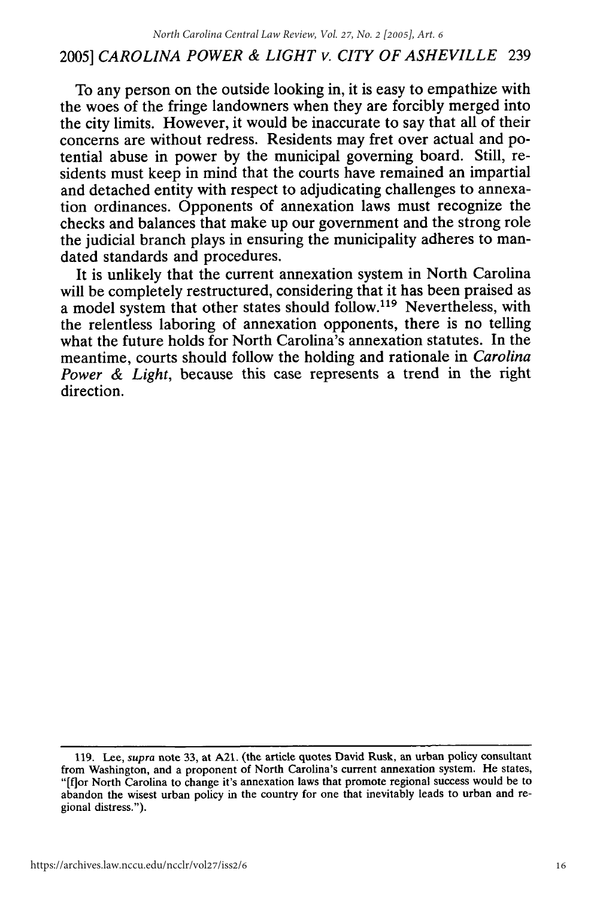To any person on the outside looking in, it is easy to empathize with the woes of the fringe landowners when they are forcibly merged into the city limits. However, it would be inaccurate to say that all of their concerns are without redress. Residents may fret over actual and potential abuse in power by the municipal governing board. Still, residents must keep in mind that the courts have remained an impartial and detached entity with respect to adjudicating challenges to annexation ordinances. Opponents of annexation laws must recognize the checks and balances that make up our government and the strong role the judicial branch plays in ensuring the municipality adheres to mandated standards and procedures.

It is unlikely that the current annexation system in North Carolina will be completely restructured, considering that it has been praised as a model system that other states should follow.<sup>119</sup> Nevertheless, with the relentless laboring of annexation opponents, there is no telling what the future holds for North Carolina's annexation statutes. In the meantime, courts should follow the holding and rationale in *Carolina Power & Light,* because this case represents a trend in the right direction.

<sup>119.</sup> Lee, supra note 33, at A21. (the article quotes David Rusk, an urban policy consultant from Washington, and a proponent of North Carolina's current annexation system. He states, "[flor North Carolina to change it's annexation laws that promote regional success would be to abandon the wisest urban policy in the country for one that inevitably leads to urban and regional distress.").